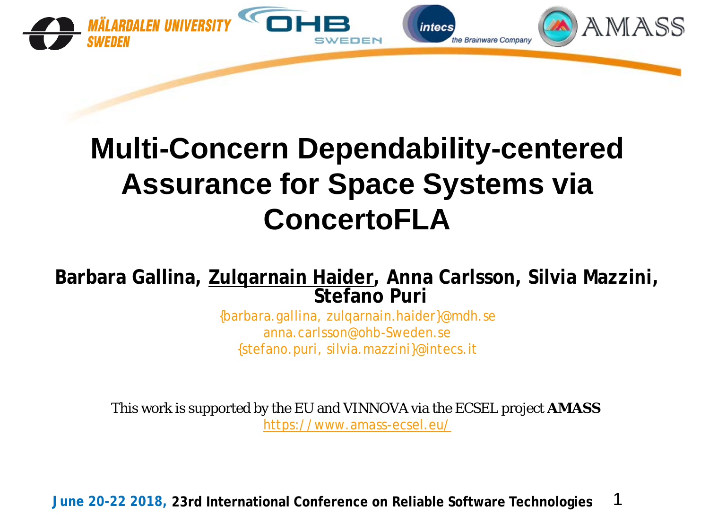

## **Multi-Concern Dependability-centered Assurance for Space Systems via ConcertoFLA**

#### **Barbara Gallina, Zulqarnain Haider, Anna Carlsson, Silvia Mazzini, Stefano Puri**

{barbara.gallina, zulqarnain.haider}@mdh.se anna.carlsson@ohb-Sweden.se {stefano.puri, silvia.mazzini}@intecs.it

This work is supported by the EU and VINNOVA via the ECSEL project **AMASS** https://www.amass-ecsel.eu/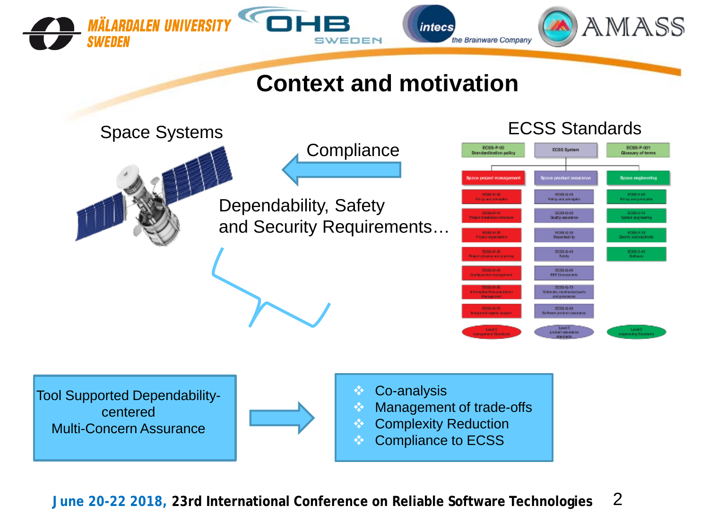

Compliance to ECSS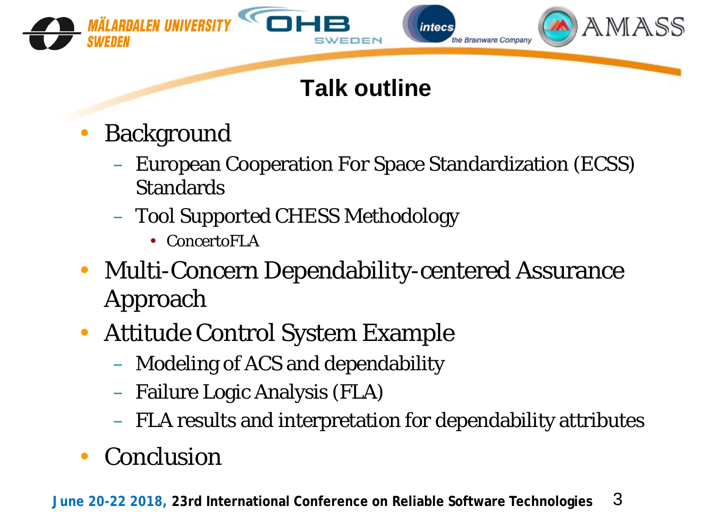

## **Talk outline**

- **Background** 
	- European Cooperation For Space Standardization (ECSS) **Standards**
	- Tool Supported CHESS Methodology
		- ConcertoFLA
- Multi-Concern Dependability-centered Assurance Approach
- Attitude Control System Example
	- Modeling of ACS and dependability
	- Failure Logic Analysis (FLA)
	- FLA results and interpretation for dependability attributes
- Conclusion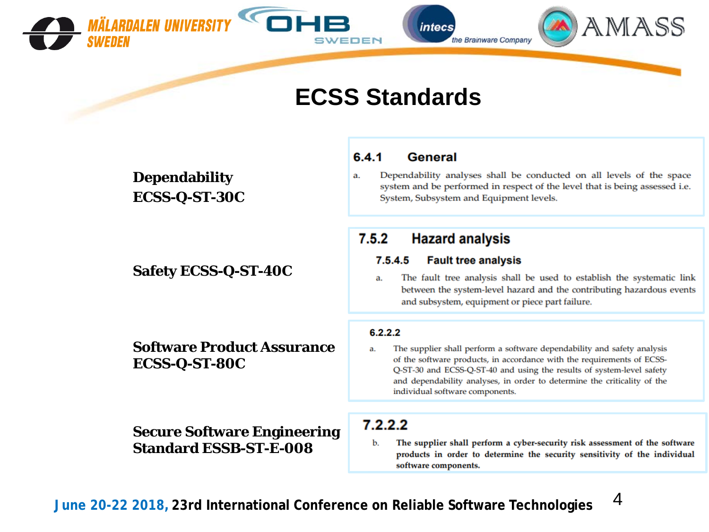

#### **ECSS Standards**

**Dependability ECSS-Q-ST-30C**

#### **Safety ECSS-Q-ST-40C**

**Software Product Assurance ECSS-Q-ST-80C**

**Secure Software Engineering Standard ESSB-ST-E-008**

#### $6.4.1$ **General**

Dependability analyses shall be conducted on all levels of the space a. system and be performed in respect of the level that is being assessed i.e. System, Subsystem and Equipment levels.

#### $7.5.2$ **Hazard analysis**

#### $7.5.4.5$ **Fault tree analysis**

The fault tree analysis shall be used to establish the systematic link a. between the system-level hazard and the contributing hazardous events and subsystem, equipment or piece part failure.

#### $6.2.2.2$

The supplier shall perform a software dependability and safety analysis a. of the software products, in accordance with the requirements of ECSS-Q-ST-30 and ECSS-Q-ST-40 and using the results of system-level safety and dependability analyses, in order to determine the criticality of the individual software components.

#### $7.2.2.2$

b. The supplier shall perform a cyber-security risk assessment of the software products in order to determine the security sensitivity of the individual software components.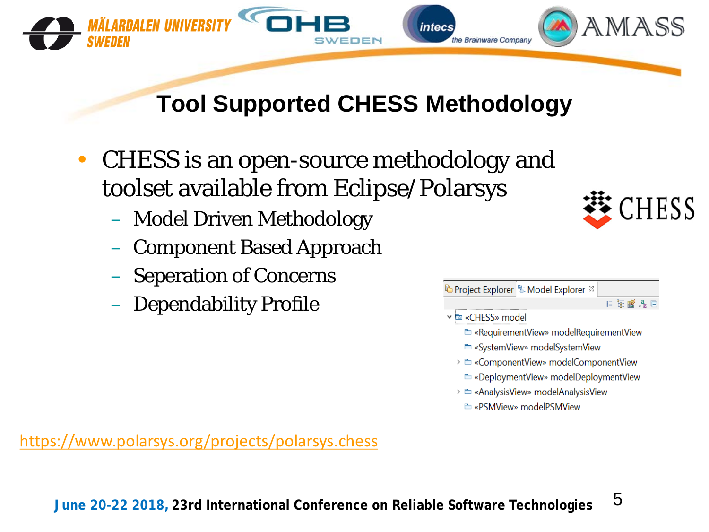

## **Tool Supported CHESS Methodology**

- CHESS is an open-source methodology and toolset available from Eclipse/Polarsys
	- Model Driven Methodology
	- Component Based Approach
	- Seperation of Concerns
	- Dependability Profile



```
ि Project Explorer| है: Model Explorer \, \!目医瞪眼目
```
- v **E** «CHESS» model
	- E «RequirementView» modelRequirementView
	- E «SystemView» modelSystemView
	- > E «ComponentView» modelComponentView
	- E «DeploymentView» modelDeploymentView
	- > E «AnalysisView» modelAnalysisView
		- E «PSMView» modelPSMView

<https://www.polarsys.org/projects/polarsys.chess>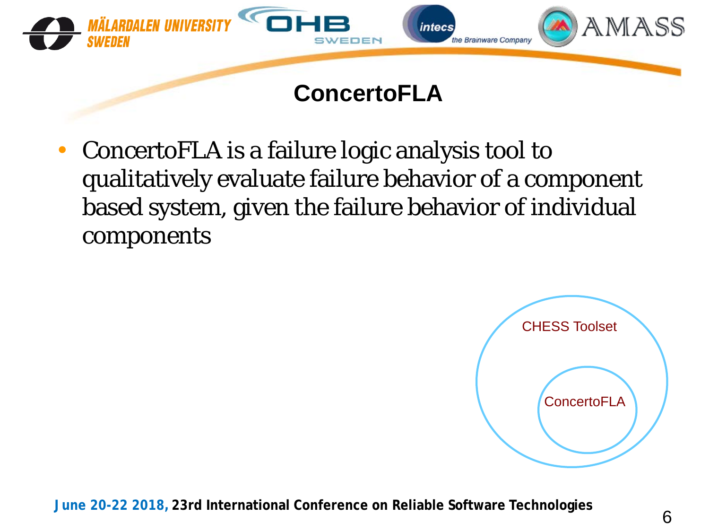

• ConcertoFLA is a failure logic analysis tool to qualitatively evaluate failure behavior of a component based system, given the failure behavior of individual components

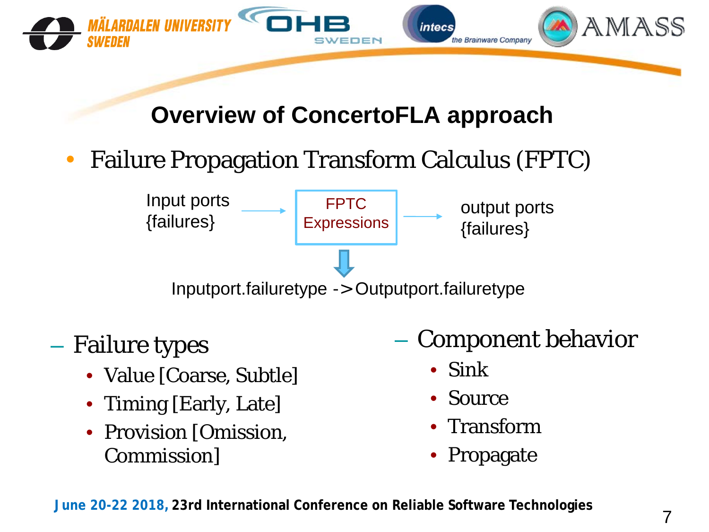

### **Overview of ConcertoFLA approach**

• Failure Propagation Transform Calculus (FPTC)



- Failure types
	- Value [Coarse, Subtle]
	- Timing [Early, Late]
	- Provision [Omission, Commission]
- Component behavior
	- Sink
	- Source
	- **Transform**
	- **Propagate**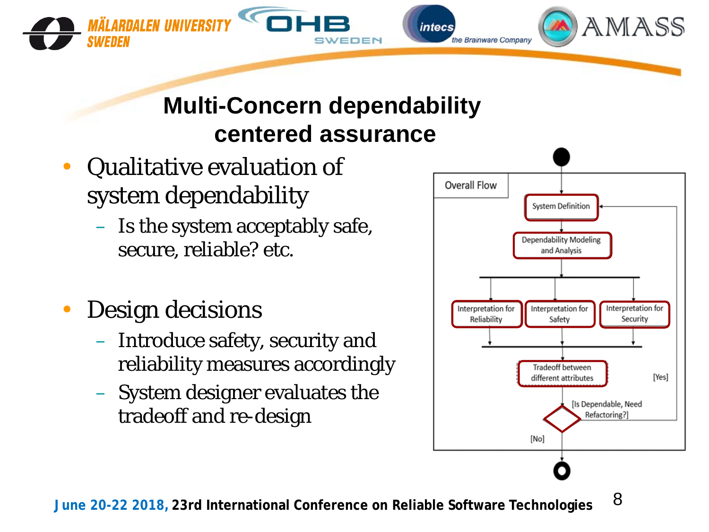**Multi-Concern dependability centered assurance**

EDEN

intecs

the Brainware Company

- Qualitative evaluation of system dependability
	- Is the system acceptably safe, secure, reliable? etc.
- Design decisions

.<br>Mälardalen iiniversity

SWEDEN

- Introduce safety, security and reliability measures accordingly
- System designer evaluates the tradeoff and re-design



AMASS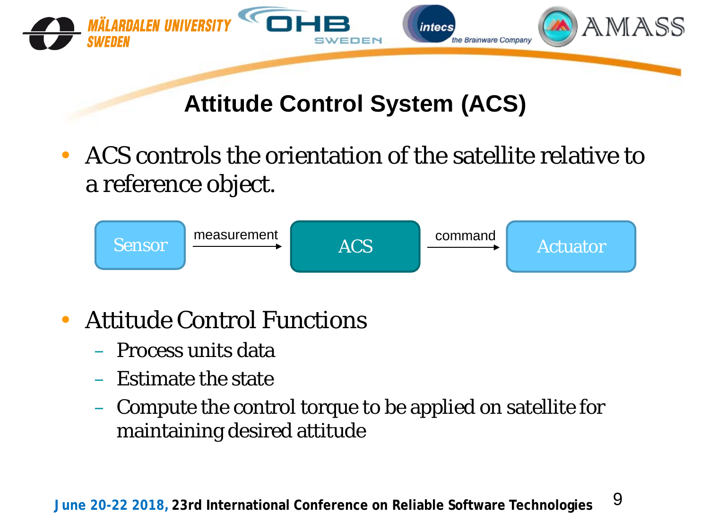

### **Attitude Control System (ACS)**

• ACS controls the orientation of the satellite relative to a reference object.



- Attitude Control Functions
	- Process units data
	- Estimate the state
	- Compute the control torque to be applied on satellite for maintaining desired attitude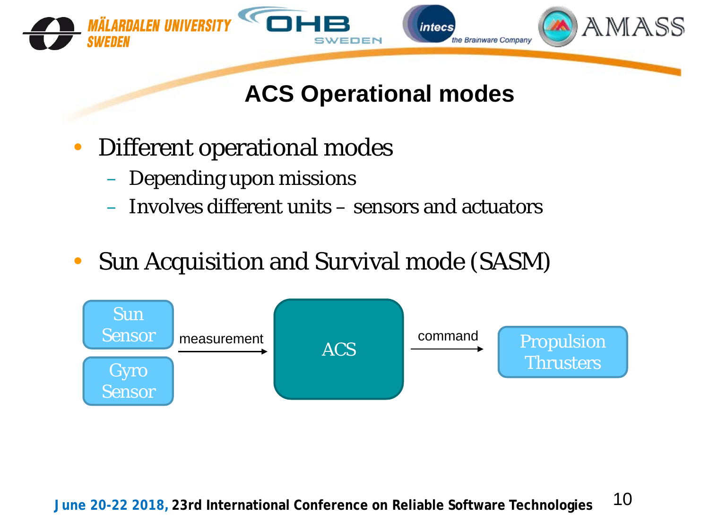

## **ACS Operational modes**

- Different operational modes
	- Depending upon missions
	- Involves different units sensors and actuators
- Sun Acquisition and Survival mode (SASM)

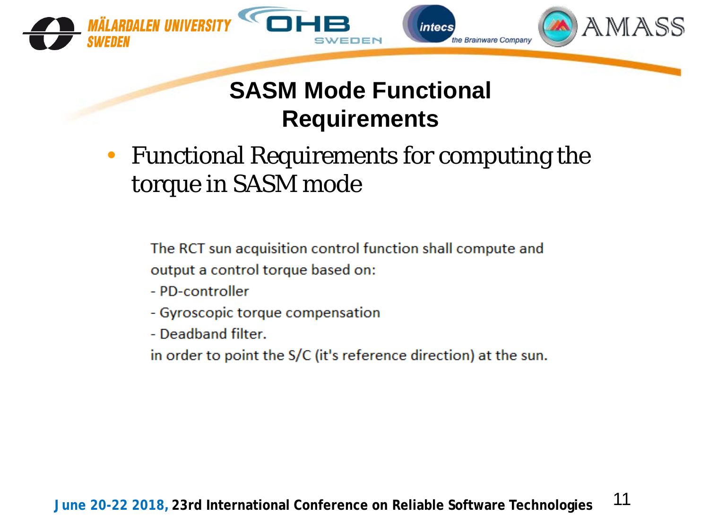

## **SASM Mode Functional Requirements**

• Functional Requirements for computing the torque in SASM mode

The RCT sun acquisition control function shall compute and output a control torque based on:

- PD-controller
- Gyroscopic torque compensation
- Deadband filter.
- in order to point the S/C (it's reference direction) at the sun.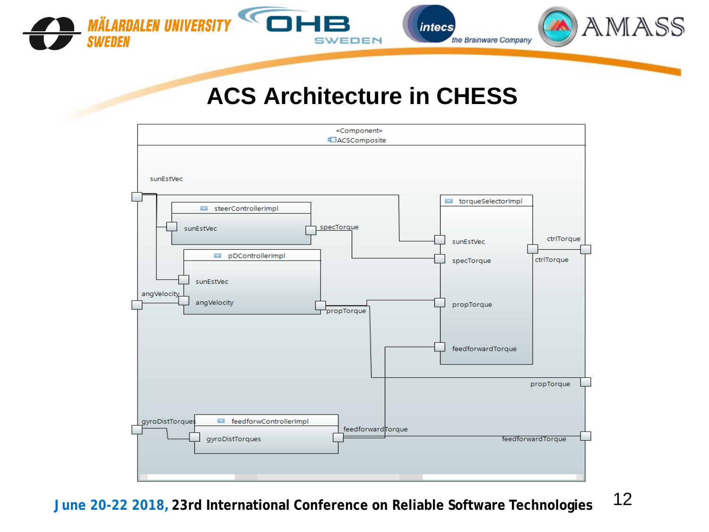

SWEDEN

*intecs* 

the Brainware Company

AMASS

 $\blacktriangledown$ 

**MÄLARDALEN UNIVERSITY** 

**SWEDEN** 

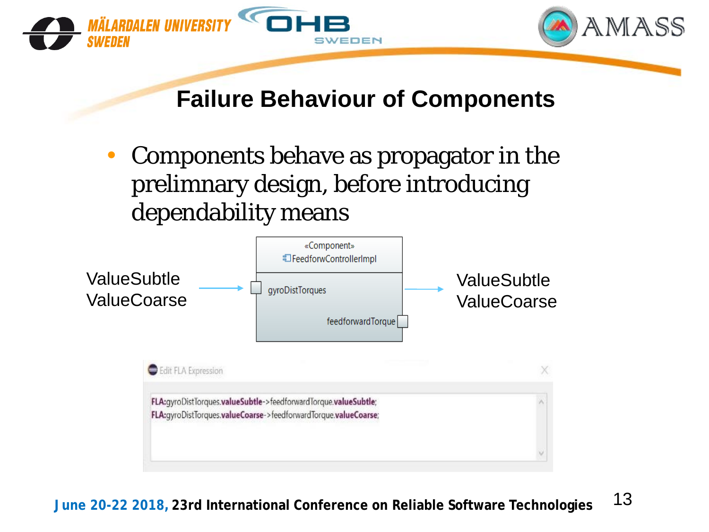

#### **Failure Behaviour of Components**

• Components behave as propagator in the prelimnary design, before introducing dependability means

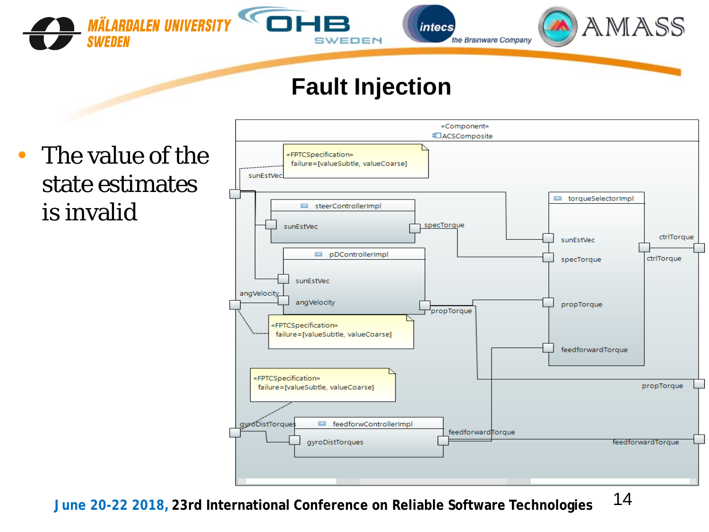

*intecs* the Brainware Company



#### **Fault Injection**

• The value of the state estimates is invalid

**SWEDEN** 

**MÄLARDALEN UNIVERSITY** 

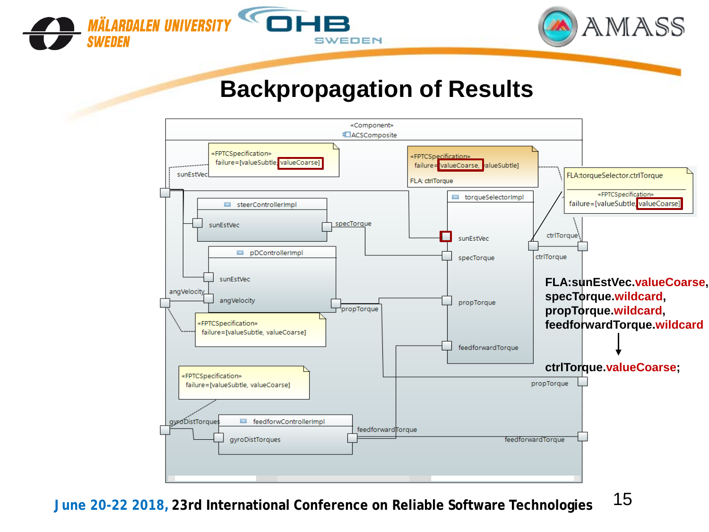



#### **Backpropagation of Results**

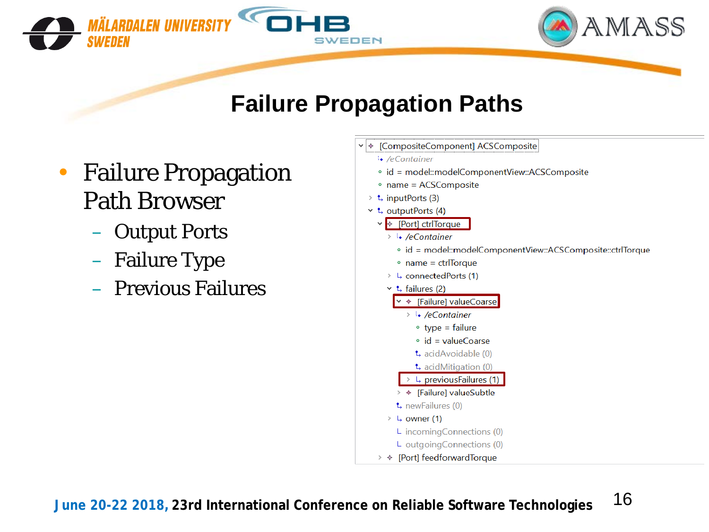



#### **Failure Propagation Paths**

- Failure Propagation Path Browser
	- Output Ports
	- Failure Type
	- Previous Failures



```
\cdot /eContainer
```
- · id = model::modelComponentView::ACSComposite
- name = ACSComposite
- $\geq$  t, inputPorts (3)
- $\cdot$  t, outputPorts (4)
	- v + [Port] ctrlTorque
		- $\rightarrow$   $\cdot$  /eContainer
			- id = model::modelComponentView::ACSComposite::ctrlTorque
			- $\circ$  name = ctrlTorque
		- $\rightarrow$  L, connectedPorts (1)
		- $\vee$  t, failures (2)
			- ← [Failure] valueCoarse
				- $\rightarrow$   $\frac{1}{2}$  /eContainer
					- $\circ$  type = failure
					- $\circ$  id = valueCoarse
					- t, acidAvoidable (0)
				- t, acidMitigation (0)
			- > L, previousFailures (1) > → [Failure] valueSubtle
		- t, newFailures (0)
		- $\frac{1}{2}$  owner (1)
			- L incomingConnections (0)
			- L outgoingConnections (0)
	- >  $\div$  [Port] feedforwardTorque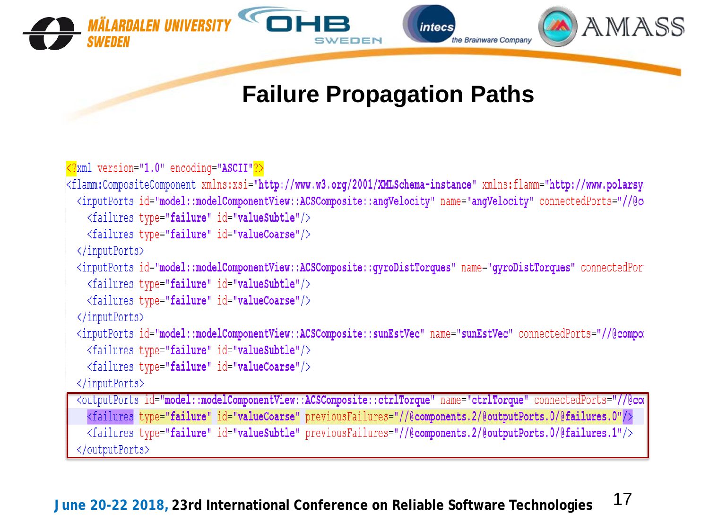

### **Failure Propagation Paths**

```
<?xml version="1.0" encoding="ASCII"?>
<flamm:CompositeComponent xmlns:xsi="http://www.w3.org/2001/XMLSchema-instance" xmlns:flamm="http://www.polarsy
 <inputPorts id="model::modelComponentView::ACSComposite::anqVelocity" name="anqVelocity" connectedPorts="//@c
   <failures type="failure" id="valueSubtle"/>
   <failures type="failure" id="valueCoarse"/>
 </inputPorts>
 <inputPorts id="model::modelComponentView::ACSComposite::gyroDistTorques" name="gyroDistTorques" connectedPor
   <failures type="failure" id="valueSubtle"/>
   <failures type="failure" id="valueCoarse"/>
 </inputPorts>
 <inputPorts id="model::modelComponentView::ACSComposite::sunEstVec" name="sunEstVec" connectedPorts="//@compor
    <failures type="failure" id="valueSubtle"/>
   <failures type="failure" id="valueCoarse"/>
 </inputPorts>
  <outputPorts id="model::modelComponentView::ACSComposite::ctrlTorque" name="ctrlTorque" connectedPorts="//@com
    <failures type="failure" id="valueCoarse" previousFailures="//@components.2/@outputPorts.0/@failures.0"/>
   <failures type="failure" id="valueSubtle" previousFailures="//@components.2/@outputPorts.0/@failures.1"/>
   /outputPorts>
```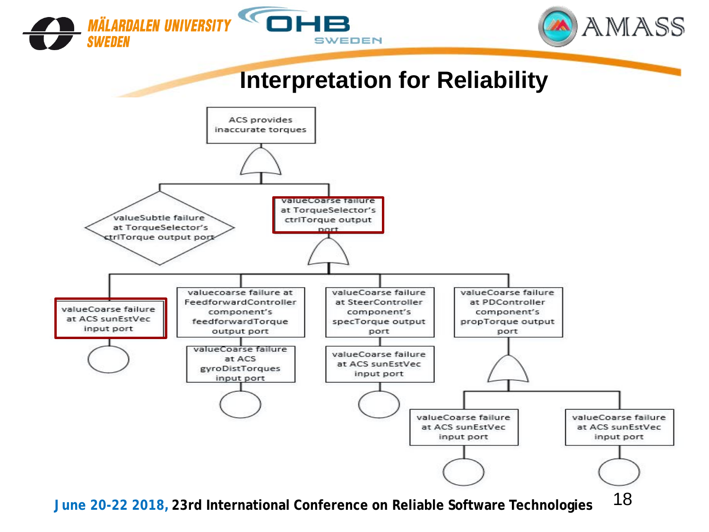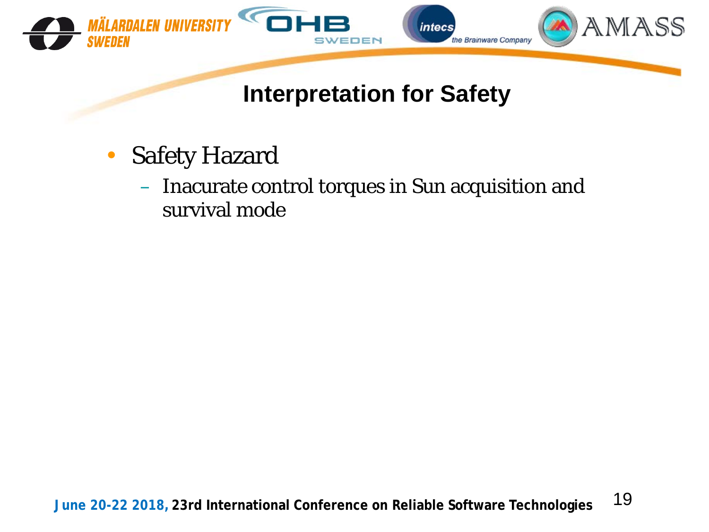

- Safety Hazard
	- Inacurate control torques in Sun acquisition and survival mode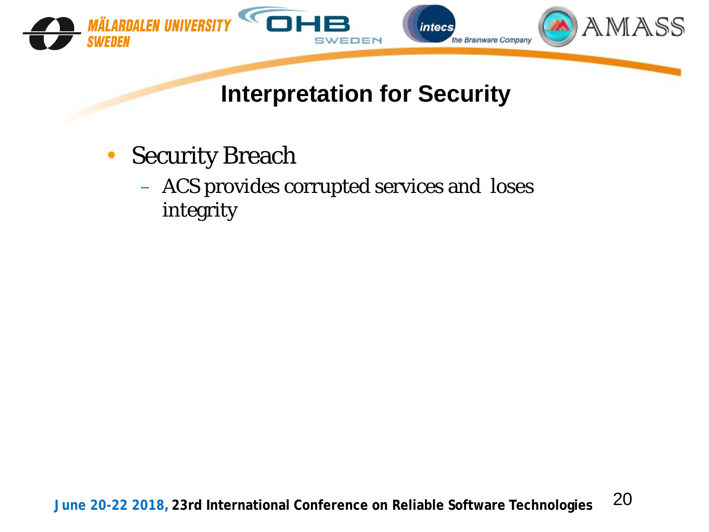

- Security Breach
	- ACS provides corrupted services and loses integrity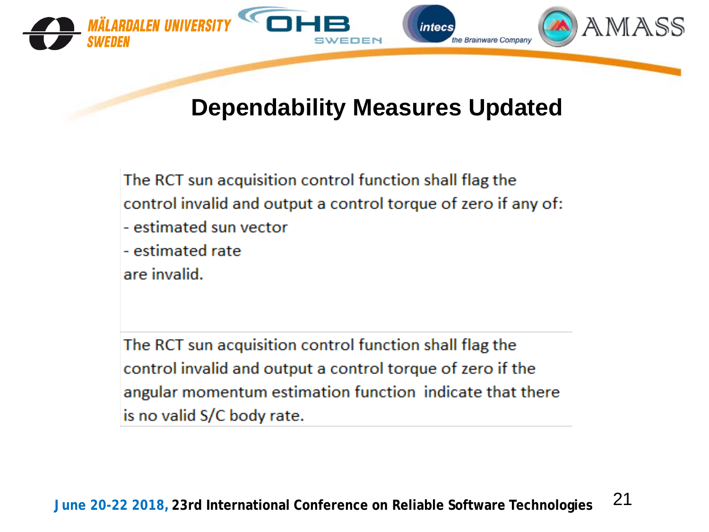

#### **Dependability Measures Updated**

The RCT sun acquisition control function shall flag the control invalid and output a control torque of zero if any of: - estimated sun vector - estimated rate are invalid.

The RCT sun acquisition control function shall flag the control invalid and output a control torque of zero if the angular momentum estimation function indicate that there is no valid S/C body rate.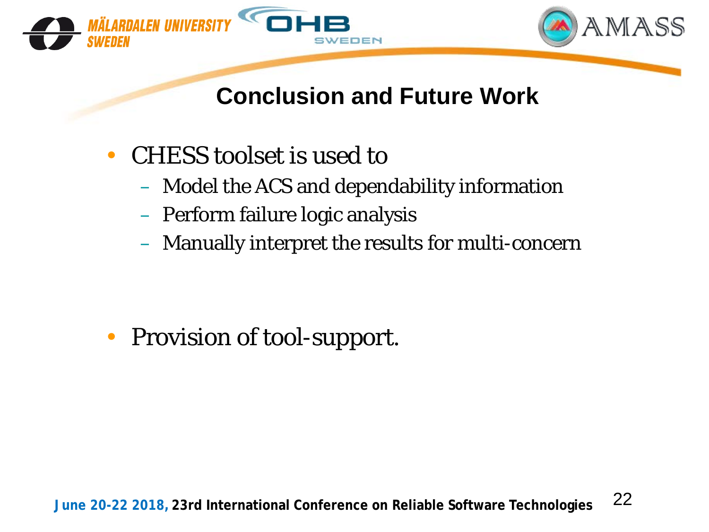



## **Conclusion and Future Work**

- CHESS toolset is used to
	- Model the ACS and dependability information
	- Perform failure logic analysis
	- Manually interpret the results for multi-concern

• Provision of tool-support.